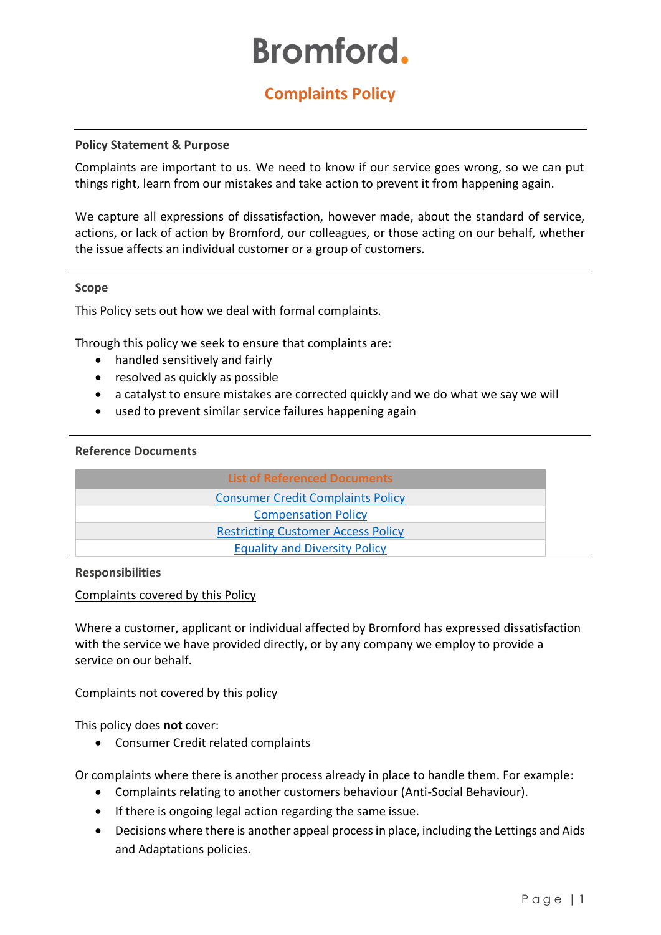# **Bromford.**

# **Complaints Policy**

#### **Policy Statement & Purpose**

Complaints are important to us. We need to know if our service goes wrong, so we can put things right, learn from our mistakes and take action to prevent it from happening again.

We capture all expressions of dissatisfaction, however made, about the standard of service, actions, or lack of action by Bromford, our colleagues, or those acting on our behalf, whether the issue affects an individual customer or a group of customers.

#### **Scope**

This Policy sets out how we deal with formal complaints.

Through this policy we seek to ensure that complaints are:

- handled sensitively and fairly
- resolved as quickly as possible
- a catalyst to ensure mistakes are corrected quickly and we do what we say we will
- used to prevent similar service failures happening again

#### **Reference Documents**

| <b>List of Referenced Documents</b>       |
|-------------------------------------------|
| <b>Consumer Credit Complaints Policy</b>  |
| <b>Compensation Policy</b>                |
| <b>Restricting Customer Access Policy</b> |
| <b>Equality and Diversity Policy</b>      |

#### **Responsibilities**

#### Complaints covered by this Policy

Where a customer, applicant or individual affected by Bromford has expressed dissatisfaction with the service we have provided directly, or by any company we employ to provide a service on our behalf.

#### Complaints not covered by this policy

This policy does **not** cover:

• Consumer Credit related complaints

Or complaints where there is another process already in place to handle them. For example:

- Complaints relating to another customers behaviour (Anti-Social Behaviour).
- If there is ongoing legal action regarding the same issue.
- Decisions where there is another appeal process in place, including the Lettings and Aids and Adaptations policies.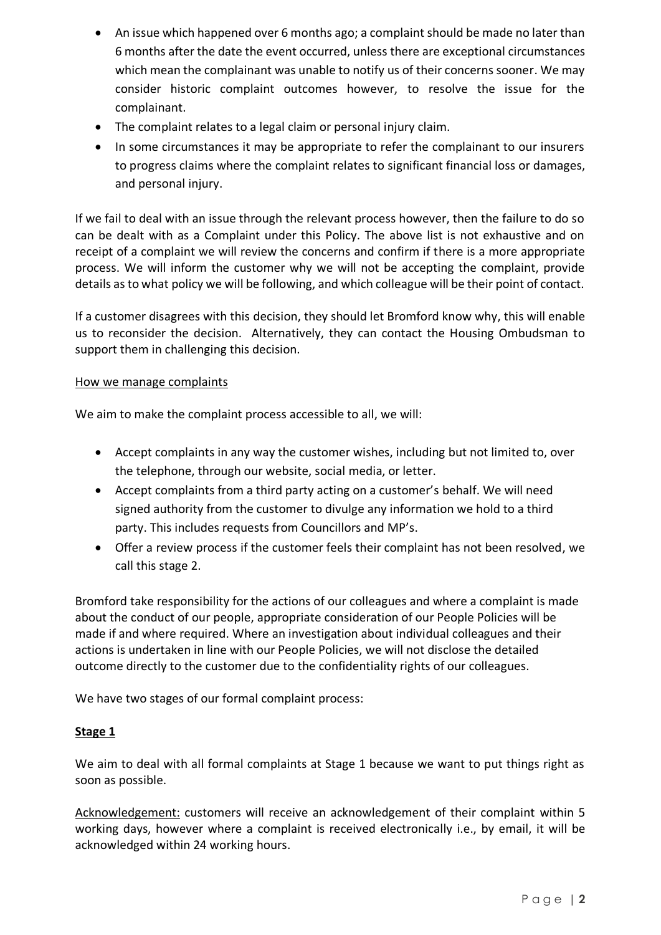- An issue which happened over 6 months ago; a complaint should be made no later than 6 months after the date the event occurred, unless there are exceptional circumstances which mean the complainant was unable to notify us of their concerns sooner. We may consider historic complaint outcomes however, to resolve the issue for the complainant.
- The complaint relates to a legal claim or personal injury claim.
- In some circumstances it may be appropriate to refer the complainant to our insurers to progress claims where the complaint relates to significant financial loss or damages, and personal injury.

If we fail to deal with an issue through the relevant process however, then the failure to do so can be dealt with as a Complaint under this Policy. The above list is not exhaustive and on receipt of a complaint we will review the concerns and confirm if there is a more appropriate process. We will inform the customer why we will not be accepting the complaint, provide details as to what policy we will be following, and which colleague will be their point of contact.

If a customer disagrees with this decision, they should let Bromford know why, this will enable us to reconsider the decision. Alternatively, they can contact the Housing Ombudsman to support them in challenging this decision.

# How we manage complaints

We aim to make the complaint process accessible to all, we will:

- Accept complaints in any way the customer wishes, including but not limited to, over the telephone, through our website, social media, or letter.
- Accept complaints from a third party acting on a customer's behalf. We will need signed authority from the customer to divulge any information we hold to a third party. This includes requests from Councillors and MP's.
- Offer a review process if the customer feels their complaint has not been resolved, we call this stage 2.

Bromford take responsibility for the actions of our colleagues and where a complaint is made about the conduct of our people, appropriate consideration of our People Policies will be made if and where required. Where an investigation about individual colleagues and their actions is undertaken in line with our People Policies, we will not disclose the detailed outcome directly to the customer due to the confidentiality rights of our colleagues.

We have two stages of our formal complaint process:

# **Stage 1**

We aim to deal with all formal complaints at Stage 1 because we want to put things right as soon as possible.

Acknowledgement: customers will receive an acknowledgement of their complaint within 5 working days, however where a complaint is received electronically i.e., by email, it will be acknowledged within 24 working hours.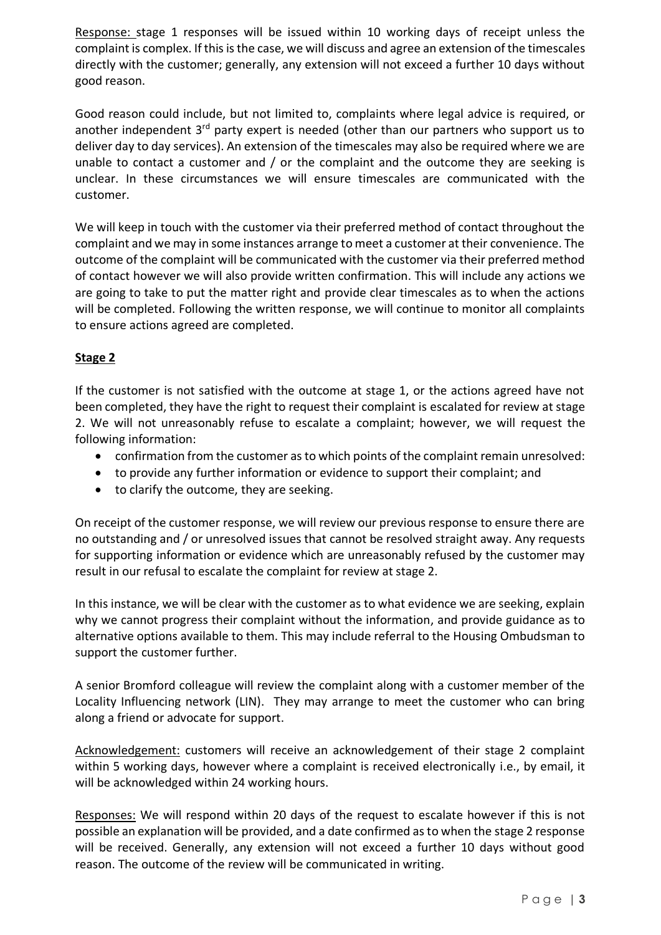Response: stage 1 responses will be issued within 10 working days of receipt unless the complaint is complex. If this is the case, we will discuss and agree an extension of the timescales directly with the customer; generally, any extension will not exceed a further 10 days without good reason.

Good reason could include, but not limited to, complaints where legal advice is required, or another independent  $3<sup>rd</sup>$  party expert is needed (other than our partners who support us to deliver day to day services). An extension of the timescales may also be required where we are unable to contact a customer and / or the complaint and the outcome they are seeking is unclear. In these circumstances we will ensure timescales are communicated with the customer.

We will keep in touch with the customer via their preferred method of contact throughout the complaint and we may in some instances arrange to meet a customer at their convenience. The outcome of the complaint will be communicated with the customer via their preferred method of contact however we will also provide written confirmation. This will include any actions we are going to take to put the matter right and provide clear timescales as to when the actions will be completed. Following the written response, we will continue to monitor all complaints to ensure actions agreed are completed.

# **Stage 2**

If the customer is not satisfied with the outcome at stage 1, or the actions agreed have not been completed, they have the right to request their complaint is escalated for review at stage 2. We will not unreasonably refuse to escalate a complaint; however, we will request the following information:

- confirmation from the customer as to which points of the complaint remain unresolved:
- to provide any further information or evidence to support their complaint; and
- to clarify the outcome, they are seeking.

On receipt of the customer response, we will review our previous response to ensure there are no outstanding and / or unresolved issues that cannot be resolved straight away. Any requests for supporting information or evidence which are unreasonably refused by the customer may result in our refusal to escalate the complaint for review at stage 2.

In this instance, we will be clear with the customer as to what evidence we are seeking, explain why we cannot progress their complaint without the information, and provide guidance as to alternative options available to them. This may include referral to the Housing Ombudsman to support the customer further.

A senior Bromford colleague will review the complaint along with a customer member of the Locality Influencing network (LIN). They may arrange to meet the customer who can bring along a friend or advocate for support.

Acknowledgement: customers will receive an acknowledgement of their stage 2 complaint within 5 working days, however where a complaint is received electronically i.e., by email, it will be acknowledged within 24 working hours.

Responses: We will respond within 20 days of the request to escalate however if this is not possible an explanation will be provided, and a date confirmed as to when the stage 2 response will be received. Generally, any extension will not exceed a further 10 days without good reason. The outcome of the review will be communicated in writing.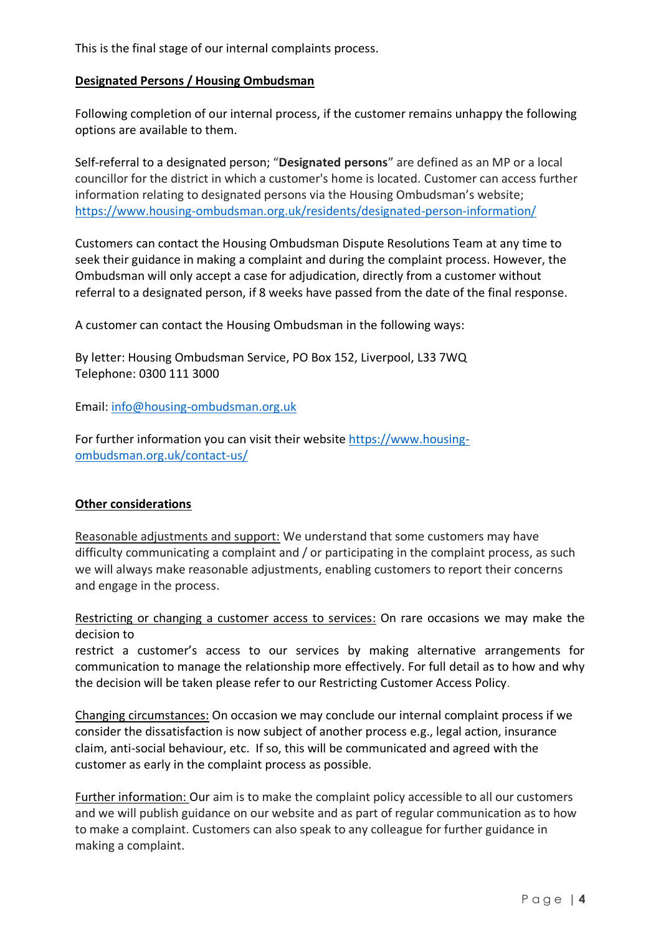This is the final stage of our internal complaints process.

## **Designated Persons / Housing Ombudsman**

Following completion of our internal process, if the customer remains unhappy the following options are available to them.

Self-referral to a designated person; "**Designated persons**" are defined as an MP or a local councillor for the district in which a customer's home is located. Customer can access further information relating to designated persons via the Housing Ombudsman's website; <https://www.housing-ombudsman.org.uk/residents/designated-person-information/>

Customers can contact the Housing Ombudsman Dispute Resolutions Team at any time to seek their guidance in making a complaint and during the complaint process. However, the Ombudsman will only accept a case for adjudication, directly from a customer without referral to a designated person, if 8 weeks have passed from the date of the final response.

A customer can contact the Housing Ombudsman in the following ways:

By letter: Housing Ombudsman Service, PO Box 152, Liverpool, L33 7WQ Telephone: 0300 111 3000

Email: [info@housing-ombudsman.org.uk](mailto:info@housing-ombudsman.org.uk)

For further information you can visit their website [https://www.housing](https://www.housing-ombudsman.org.uk/contact-us/)[ombudsman.org.uk/contact-us/](https://www.housing-ombudsman.org.uk/contact-us/)

# **Other considerations**

Reasonable adjustments and support: We understand that some customers may have difficulty communicating a complaint and / or participating in the complaint process, as such we will always make reasonable adjustments, enabling customers to report their concerns and engage in the process.

Restricting or changing a customer access to services: On rare occasions we may make the decision to

restrict a customer's access to our services by making alternative arrangements for communication to manage the relationship more effectively. For full detail as to how and why the decision will be taken please refer to our Restricting Customer Access Policy.

Changing circumstances: On occasion we may conclude our internal complaint process if we consider the dissatisfaction is now subject of another process e.g., legal action, insurance claim, anti-social behaviour, etc. If so, this will be communicated and agreed with the customer as early in the complaint process as possible.

Further information: Our aim is to make the complaint policy accessible to all our customers and we will publish guidance on our website and as part of regular communication as to how to make a complaint. Customers can also speak to any colleague for further guidance in making a complaint.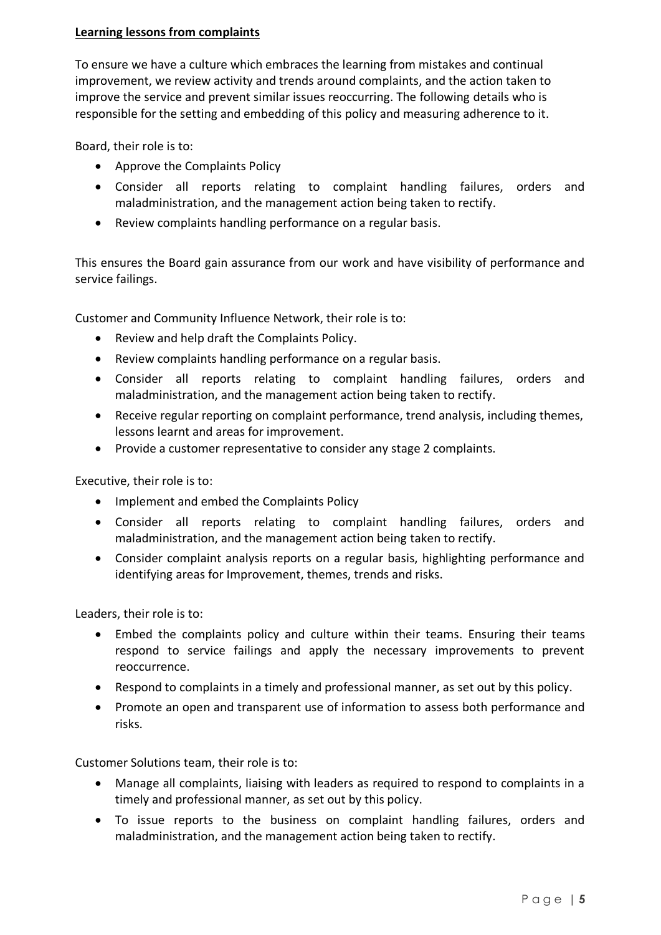# **Learning lessons from complaints**

To ensure we have a culture which embraces the learning from mistakes and continual improvement, we review activity and trends around complaints, and the action taken to improve the service and prevent similar issues reoccurring. The following details who is responsible for the setting and embedding of this policy and measuring adherence to it.

Board, their role is to:

- Approve the Complaints Policy
- Consider all reports relating to complaint handling failures, orders and maladministration, and the management action being taken to rectify.
- Review complaints handling performance on a regular basis.

This ensures the Board gain assurance from our work and have visibility of performance and service failings.

Customer and Community Influence Network, their role is to:

- Review and help draft the Complaints Policy.
- Review complaints handling performance on a regular basis.
- Consider all reports relating to complaint handling failures, orders and maladministration, and the management action being taken to rectify.
- Receive regular reporting on complaint performance, trend analysis, including themes, lessons learnt and areas for improvement.
- Provide a customer representative to consider any stage 2 complaints.

Executive, their role is to:

- Implement and embed the Complaints Policy
- Consider all reports relating to complaint handling failures, orders and maladministration, and the management action being taken to rectify.
- Consider complaint analysis reports on a regular basis, highlighting performance and identifying areas for Improvement, themes, trends and risks.

Leaders, their role is to:

- Embed the complaints policy and culture within their teams. Ensuring their teams respond to service failings and apply the necessary improvements to prevent reoccurrence.
- Respond to complaints in a timely and professional manner, as set out by this policy.
- Promote an open and transparent use of information to assess both performance and risks.

Customer Solutions team, their role is to:

- Manage all complaints, liaising with leaders as required to respond to complaints in a timely and professional manner, as set out by this policy.
- To issue reports to the business on complaint handling failures, orders and maladministration, and the management action being taken to rectify.